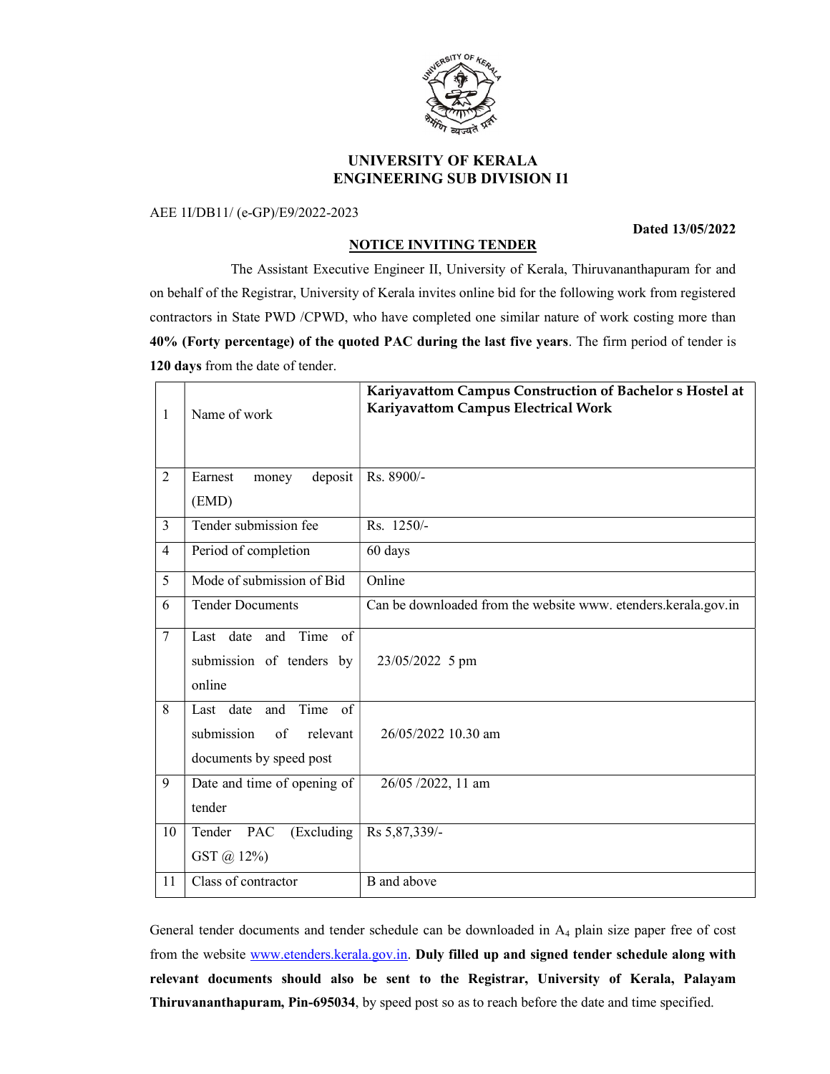

## UNIVERSITY OF KERALA ENGINEERING SUB DIVISION I1

## AEE 1I/DB11/ (e-GP)/E9/2022-2023

## Dated 13/05/2022

## NOTICE INVITING TENDER

 The Assistant Executive Engineer II, University of Kerala, Thiruvananthapuram for and on behalf of the Registrar, University of Kerala invites online bid for the following work from registered contractors in State PWD /CPWD, who have completed one similar nature of work costing more than 40% (Forty percentage) of the quoted PAC during the last five years. The firm period of tender is 120 days from the date of tender.

| 1              | Name of work                                                                           | Kariyavattom Campus Construction of Bachelor s Hostel at<br>Kariyavattom Campus Electrical Work |
|----------------|----------------------------------------------------------------------------------------|-------------------------------------------------------------------------------------------------|
| $\overline{2}$ | Earnest<br>deposit<br>money<br>(EMD)                                                   | Rs. 8900/-                                                                                      |
| $\overline{3}$ | Tender submission fee                                                                  | Rs. 1250/-                                                                                      |
| $\overline{4}$ | Period of completion                                                                   | 60 days                                                                                         |
| $\overline{5}$ | Mode of submission of Bid                                                              | Online                                                                                          |
| 6              | <b>Tender Documents</b>                                                                | Can be downloaded from the website www. etenders.kerala.gov.in                                  |
| $\overline{7}$ | Last date and Time of<br>submission of tenders by<br>online                            | 23/05/2022 5 pm                                                                                 |
| 8              | Time of<br>and<br>Last date<br>submission<br>of<br>relevant<br>documents by speed post | 26/05/2022 10.30 am                                                                             |
| 9              | Date and time of opening of<br>tender                                                  | 26/05 /2022, 11 am                                                                              |
| 10             | (Excluding<br>Tender PAC<br>GST @ 12%)                                                 | Rs 5,87,339/-                                                                                   |
| 11             | Class of contractor                                                                    | B and above                                                                                     |

General tender documents and tender schedule can be downloaded in A4 plain size paper free of cost from the website www.etenders.kerala.gov.in. Duly filled up and signed tender schedule along with relevant documents should also be sent to the Registrar, University of Kerala, Palayam Thiruvananthapuram, Pin-695034, by speed post so as to reach before the date and time specified.